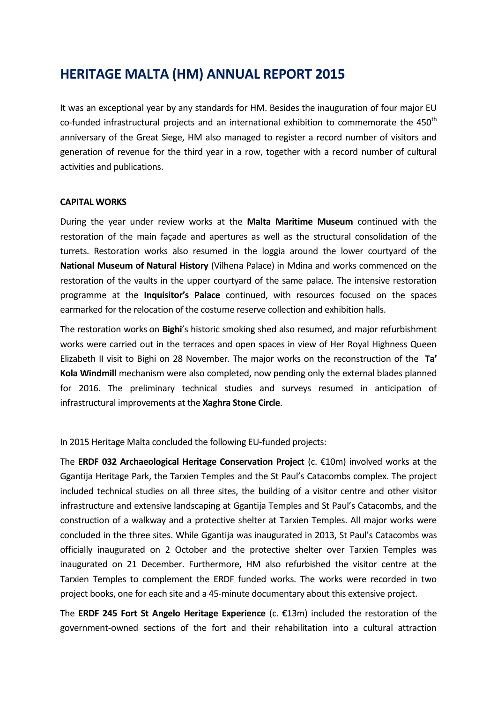# **HERITAGE MALTA (HM) ANNUAL REPORT 2015**

It was an exceptional year by any standards for HM. Besides the inauguration of four major EU co-funded infrastructural projects and an international exhibition to commemorate the  $450<sup>th</sup>$ anniversary of the Great Siege, HM also managed to register a record number of visitors and generation of revenue for the third year in a row, together with a record number of cultural activities and publications.

# **CAPITAL WORKS**

During the year under review works at the **Malta Maritime Museum** continued with the restoration of the main façade and apertures as well as the structural consolidation of the turrets. Restoration works also resumed in the loggia around the lower courtyard of the **National Museum of Natural History** (Vilhena Palace) in Mdina and works commenced on the restoration of the vaults in the upper courtyard of the same palace. The intensive restoration programme at the **Inquisitor's Palace** continued, with resources focused on the spaces earmarked for the relocation of the costume reserve collection and exhibition halls.

The restoration works on **Bighi**'s historic smoking shed also resumed, and major refurbishment works were carried out in the terraces and open spaces in view of Her Royal Highness Queen Elizabeth II visit to Bighi on 28 November. The major works on the reconstruction of the **Ta' Kola Windmill** mechanism were also completed, now pending only the external blades planned for 2016. The preliminary technical studies and surveys resumed in anticipation of infrastructural improvements at the **Xaghra Stone Circle**.

In 2015 Heritage Malta concluded the following EU-funded projects:

The **ERDF 032 Archaeological Heritage Conservation Project** (c. €10m) involved works at the Ggantija Heritage Park, the Tarxien Temples and the St Paul's Catacombs complex. The project included technical studies on all three sites, the building of a visitor centre and other visitor infrastructure and extensive landscaping at Ggantija Temples and St Paul's Catacombs, and the construction of a walkway and a protective shelter at Tarxien Temples. All major works were concluded in the three sites. While Ggantija was inaugurated in 2013, St Paul's Catacombs was officially inaugurated on 2 October and the protective shelter over Tarxien Temples was inaugurated on 21 December. Furthermore, HM also refurbished the visitor centre at the Tarxien Temples to complement the ERDF funded works. The works were recorded in two project books, one for each site and a 45-minute documentary about this extensive project.

The **ERDF 245 Fort St Angelo Heritage Experience** (c. €13m) included the restoration of the government-owned sections of the fort and their rehabilitation into a cultural attraction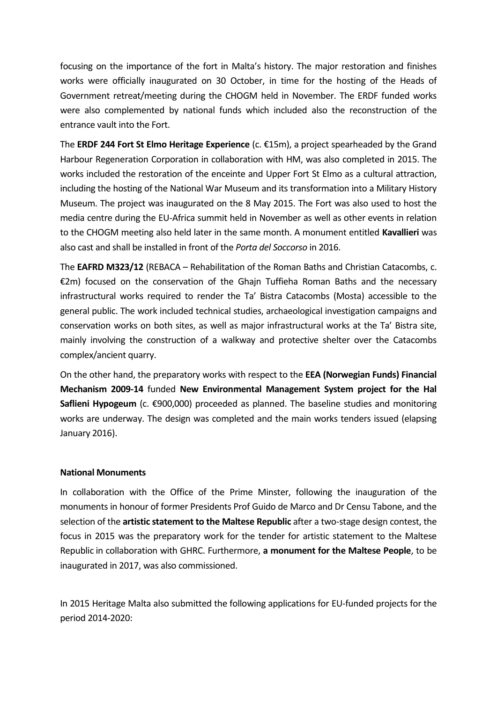focusing on the importance of the fort in Malta's history. The major restoration and finishes works were officially inaugurated on 30 October, in time for the hosting of the Heads of Government retreat/meeting during the CHOGM held in November. The ERDF funded works were also complemented by national funds which included also the reconstruction of the entrance vault into the Fort.

The **ERDF 244 Fort St Elmo Heritage Experience** (c. €15m), a project spearheaded by the Grand Harbour Regeneration Corporation in collaboration with HM, was also completed in 2015. The works included the restoration of the enceinte and Upper Fort St Elmo as a cultural attraction, including the hosting of the National War Museum and its transformation into a Military History Museum. The project was inaugurated on the 8 May 2015. The Fort was also used to host the media centre during the EU-Africa summit held in November as well as other events in relation to the CHOGM meeting also held later in the same month. A monument entitled **Kavallieri** was also cast and shall be installed in front of the *Porta del Soccorso* in 2016.

The **EAFRD M323/12** (REBACA – Rehabilitation of the Roman Baths and Christian Catacombs, c. €2m) focused on the conservation of the Ghajn Tuffieha Roman Baths and the necessary infrastructural works required to render the Ta' Bistra Catacombs (Mosta) accessible to the general public. The work included technical studies, archaeological investigation campaigns and conservation works on both sites, as well as major infrastructural works at the Ta' Bistra site, mainly involving the construction of a walkway and protective shelter over the Catacombs complex/ancient quarry.

On the other hand, the preparatory works with respect to the **EEA (Norwegian Funds) Financial Mechanism 2009-14** funded **New Environmental Management System project for the Hal Saflieni Hypogeum** (c. €900,000) proceeded as planned. The baseline studies and monitoring works are underway. The design was completed and the main works tenders issued (elapsing January 2016).

# **National Monuments**

In collaboration with the Office of the Prime Minster, following the inauguration of the monuments in honour of former Presidents Prof Guido de Marco and Dr Censu Tabone, and the selection of the **artistic statement to the Maltese Republic** after a two-stage design contest, the focus in 2015 was the preparatory work for the tender for artistic statement to the Maltese Republic in collaboration with GHRC. Furthermore, **a monument for the Maltese People**, to be inaugurated in 2017, was also commissioned.

In 2015 Heritage Malta also submitted the following applications for EU-funded projects for the period 2014-2020: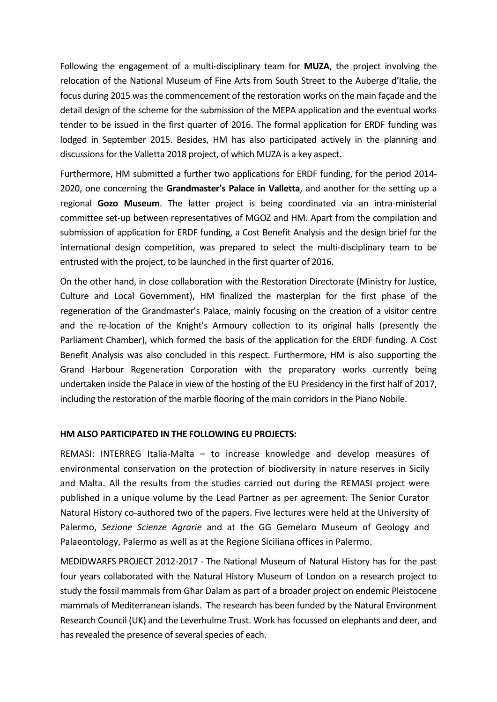Following the engagement of a multi-disciplinary team for **MUZA**, the project involving the relocation of the National Museum of Fine Arts from South Street to the Auberge d'Italie, the focus during 2015 was the commencement of the restoration works on the main façade and the detail design of the scheme for the submission of the MEPA application and the eventual works tender to be issued in the first quarter of 2016. The formal application for ERDF funding was lodged in September 2015. Besides, HM has also participated actively in the planning and discussions for the Valletta 2018 project, of which MUZA is a key aspect.

Furthermore, HM submitted a further two applications for ERDF funding, for the period 2014- 2020, one concerning the **Grandmaster's Palace in Valletta**, and another for the setting up a regional **Gozo Museum**. The latter project is being coordinated via an intra-ministerial committee set-up between representatives of MGOZ and HM. Apart from the compilation and submission of application for ERDF funding, a Cost Benefit Analysis and the design brief for the international design competition, was prepared to select the multi-disciplinary team to be entrusted with the project, to be launched in the first quarter of 2016.

On the other hand, in close collaboration with the Restoration Directorate (Ministry for Justice, Culture and Local Government), HM finalized the masterplan for the first phase of the regeneration of the Grandmaster's Palace, mainly focusing on the creation of a visitor centre and the re-location of the Knight's Armoury collection to its original halls (presently the Parliament Chamber), which formed the basis of the application for the ERDF funding. A Cost Benefit Analysis was also concluded in this respect. Furthermore, HM is also supporting the Grand Harbour Regeneration Corporation with the preparatory works currently being undertaken inside the Palace in view of the hosting of the EU Presidency in the first half of 2017, including the restoration of the marble flooring of the main corridors in the Piano Nobile.

# **HM ALSO PARTICIPATED IN THE FOLLOWING EU PROJECTS:**

REMASI: INTERREG Italia-Malta – to increase knowledge and develop measures of environmental conservation on the protection of biodiversity in nature reserves in Sicily and Malta. All the results from the studies carried out during the REMASI project were published in a unique volume by the Lead Partner as per agreement. The Senior Curator Natural History co-authored two of the papers. Five lectures were held at the University of Palermo, *Sezione Scienze Agrarie* and at the GG Gemelaro Museum of Geology and Palaeontology, Palermo as well as at the Regione Siciliana offices in Palermo.

MEDIDWARFS PROJECT 2012-2017 - The National Museum of Natural History has for the past four years collaborated with the Natural History Museum of London on a research project to study the fossil mammals from Għar Dalam as part of a broader project on endemic Pleistocene mammals of Mediterranean islands. The research has been funded by the Natural Environment Research Council (UK) and the Leverhulme Trust. Work has focussed on elephants and deer, and has revealed the presence of several species of each.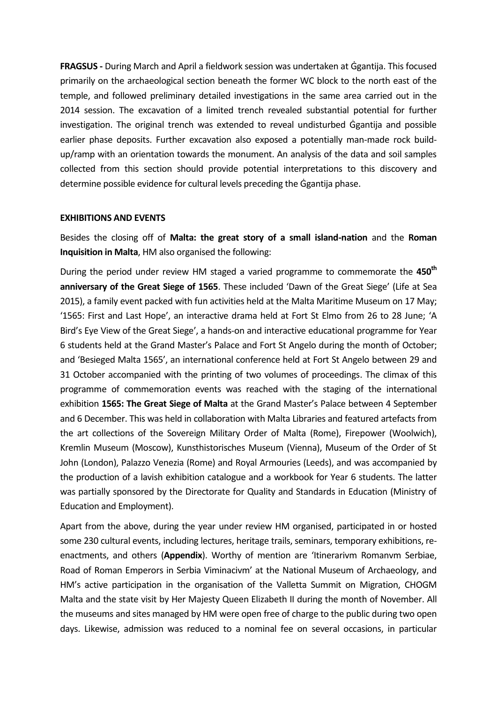**FRAGSUS -** During March and April a fieldwork session was undertaken at Ġgantija. This focused primarily on the archaeological section beneath the former WC block to the north east of the temple, and followed preliminary detailed investigations in the same area carried out in the 2014 session. The excavation of a limited trench revealed substantial potential for further investigation. The original trench was extended to reveal undisturbed Ġgantija and possible earlier phase deposits. Further excavation also exposed a potentially man-made rock buildup/ramp with an orientation towards the monument. An analysis of the data and soil samples collected from this section should provide potential interpretations to this discovery and determine possible evidence for cultural levels preceding the Ġgantija phase.

#### **EXHIBITIONS AND EVENTS**

Besides the closing off of **Malta: the great story of a small island-nation** and the **Roman Inquisition in Malta**, HM also organised the following:

During the period under review HM staged a varied programme to commemorate the **450th anniversary of the Great Siege of 1565**. These included 'Dawn of the Great Siege' (Life at Sea 2015), a family event packed with fun activities held at the Malta Maritime Museum on 17 May; '1565: First and Last Hope', an interactive drama held at Fort St Elmo from 26 to 28 June; 'A Bird's Eye View of the Great Siege', a hands-on and interactive educational programme for Year 6 students held at the Grand Master's Palace and Fort St Angelo during the month of October; and 'Besieged Malta 1565', an international conference held at Fort St Angelo between 29 and 31 October accompanied with the printing of two volumes of proceedings. The climax of this programme of commemoration events was reached with the staging of the international exhibition **1565: The Great Siege of Malta** at the Grand Master's Palace between 4 September and 6 December. This was held in collaboration with Malta Libraries and featured artefacts from the art collections of the Sovereign Military Order of Malta (Rome), Firepower (Woolwich), Kremlin Museum (Moscow), Kunsthistorisches Museum (Vienna), Museum of the Order of St John (London), Palazzo Venezia (Rome) and Royal Armouries (Leeds), and was accompanied by the production of a lavish exhibition catalogue and a workbook for Year 6 students. The latter was partially sponsored by the Directorate for Quality and Standards in Education (Ministry of Education and Employment).

Apart from the above, during the year under review HM organised, participated in or hosted some 230 cultural events, including lectures, heritage trails, seminars, temporary exhibitions, reenactments, and others (**Appendix**). Worthy of mention are 'Itinerarivm Romanvm Serbiae, Road of Roman Emperors in Serbia Viminacivm' at the National Museum of Archaeology, and HM's active participation in the organisation of the Valletta Summit on Migration, CHOGM Malta and the state visit by Her Majesty Queen Elizabeth II during the month of November. All the museums and sites managed by HM were open free of charge to the public during two open days. Likewise, admission was reduced to a nominal fee on several occasions, in particular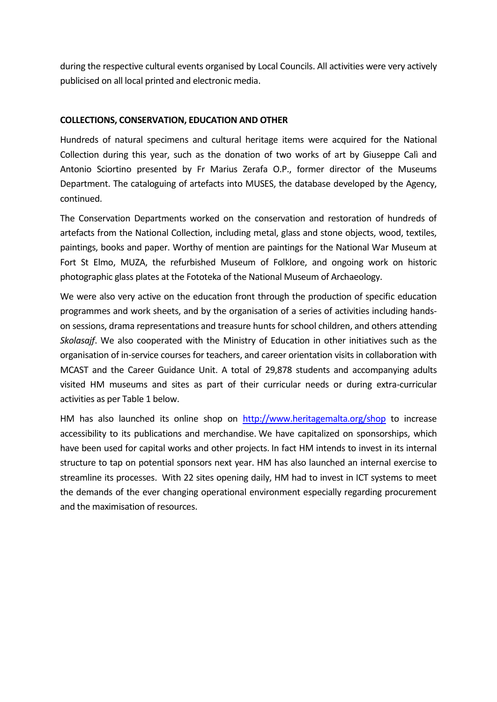during the respective cultural events organised by Local Councils. All activities were very actively publicised on all local printed and electronic media.

### **COLLECTIONS, CONSERVATION, EDUCATION AND OTHER**

Hundreds of natural specimens and cultural heritage items were acquired for the National Collection during this year, such as the donation of two works of art by Giuseppe Calì and Antonio Sciortino presented by Fr Marius Zerafa O.P., former director of the Museums Department. The cataloguing of artefacts into MUSES, the database developed by the Agency, continued.

The Conservation Departments worked on the conservation and restoration of hundreds of artefacts from the National Collection, including metal, glass and stone objects, wood, textiles, paintings, books and paper. Worthy of mention are paintings for the National War Museum at Fort St Elmo, MUZA, the refurbished Museum of Folklore, and ongoing work on historic photographic glass plates at the Fototeka of the National Museum of Archaeology.

We were also very active on the education front through the production of specific education programmes and work sheets, and by the organisation of a series of activities including handson sessions, drama representations and treasure hunts for school children, and others attending *Skolasajf*. We also cooperated with the Ministry of Education in other initiatives such as the organisation of in-service courses for teachers, and career orientation visits in collaboration with MCAST and the Career Guidance Unit. A total of 29,878 students and accompanying adults visited HM museums and sites as part of their curricular needs or during extra-curricular activities as per Table 1 below.

HM has also launched its online shop on <http://www.heritagemalta.org/shop> to increase accessibility to its publications and merchandise. We have capitalized on sponsorships, which have been used for capital works and other projects. In fact HM intends to invest in its internal structure to tap on potential sponsors next year. HM has also launched an internal exercise to streamline its processes. With 22 sites opening daily, HM had to invest in ICT systems to meet the demands of the ever changing operational environment especially regarding procurement and the maximisation of resources.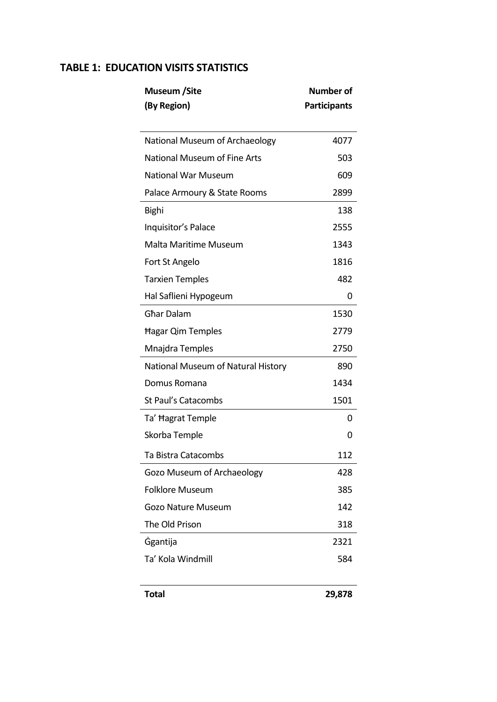# **TABLE 1: EDUCATION VISITS STATISTICS**

| Museum /Site                        | <b>Number of</b>    |
|-------------------------------------|---------------------|
| (By Region)                         | <b>Participants</b> |
|                                     |                     |
| National Museum of Archaeology      | 4077                |
| <b>National Museum of Fine Arts</b> | 503                 |
| <b>National War Museum</b>          | 609                 |
| Palace Armoury & State Rooms        | 2899                |
| <b>Bighi</b>                        | 138                 |
| Inquisitor's Palace                 | 2555                |
| Malta Maritime Museum               | 1343                |
| Fort St Angelo                      | 1816                |
| <b>Tarxien Temples</b>              | 482                 |
| Hal Saflieni Hypogeum               | 0                   |
| <b>Ghar Dalam</b>                   | 1530                |
| <b>Hagar Qim Temples</b>            | 2779                |
| Mnajdra Temples                     | 2750                |
| National Museum of Natural History  | 890                 |
| Domus Romana                        | 1434                |
| <b>St Paul's Catacombs</b>          | 1501                |
| Ta' Hagrat Temple                   | Ω                   |
| Skorba Temple                       | 0                   |
| Ta Bistra Catacombs                 | 112                 |
| Gozo Museum of Archaeology          | 428                 |
| <b>Folklore Museum</b>              | 385                 |
| <b>Gozo Nature Museum</b>           | 142                 |
| The Old Prison                      | 318                 |
| <b>Ggantija</b>                     | 2321                |
| Ta' Kola Windmill                   | 584                 |
|                                     |                     |
| <b>Total</b>                        | 29,878              |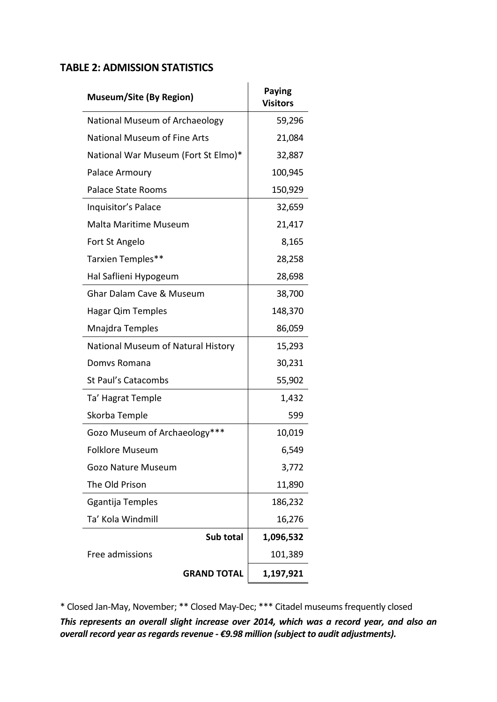# **TABLE 2: ADMISSION STATISTICS**

| <b>Museum/Site (By Region)</b>      | <b>Paying</b><br><b>Visitors</b> |
|-------------------------------------|----------------------------------|
| National Museum of Archaeology      | 59,296                           |
| <b>National Museum of Fine Arts</b> | 21,084                           |
| National War Museum (Fort St Elmo)* | 32,887                           |
| Palace Armoury                      | 100,945                          |
| <b>Palace State Rooms</b>           | 150,929                          |
| Inquisitor's Palace                 | 32,659                           |
| <b>Malta Maritime Museum</b>        | 21,417                           |
| Fort St Angelo                      | 8,165                            |
| Tarxien Temples**                   | 28,258                           |
| Hal Saflieni Hypogeum               | 28,698                           |
| <b>Ghar Dalam Cave &amp; Museum</b> | 38,700                           |
| Hagar Qim Temples                   | 148,370                          |
| Mnajdra Temples                     | 86,059                           |
| National Museum of Natural History  | 15,293                           |
| Domys Romana                        | 30,231                           |
| <b>St Paul's Catacombs</b>          | 55,902                           |
| Ta' Hagrat Temple                   | 1,432                            |
| Skorba Temple                       | 599                              |
| Gozo Museum of Archaeology***       | 10,019                           |
| <b>Folklore Museum</b>              | 6,549                            |
| <b>Gozo Nature Museum</b>           | 3,772                            |
| The Old Prison                      | 11,890                           |
| Ggantija Temples                    | 186,232                          |
| Ta' Kola Windmill                   | 16,276                           |
| Sub total                           | 1,096,532                        |
| Free admissions                     | 101,389                          |
| <b>GRAND TOTAL</b>                  | 1,197,921                        |

\* Closed Jan-May, November; \*\* Closed May-Dec; \*\*\* Citadel museums frequently closed

*This represents an overall slight increase over 2014, which was a record year, and also an overall record year as regards revenue - €9.98 million (subject to audit adjustments).*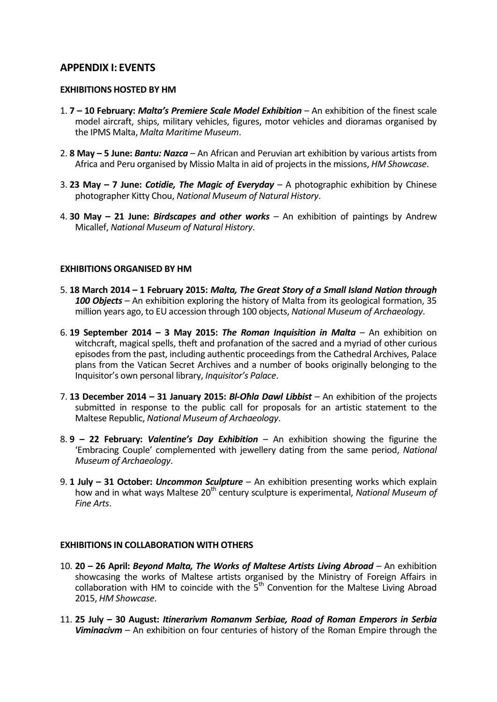# **APPENDIX I: EVENTS**

#### **EXHIBITIONS HOSTED BY HM**

- 1. **7 – 10 February:** *Malta's Premiere Scale Model Exhibition*  An exhibition of the finest scale model aircraft, ships, military vehicles, figures, motor vehicles and dioramas organised by the IPMS Malta, *Malta Maritime Museum*.
- 2. **8 May – 5 June:** *Bantu: Nazca* An African and Peruvian art exhibition by various artists from Africa and Peru organised by Missio Malta in aid of projects in the missions, *HM Showcase*.
- 3. **23 May – 7 June:** *Cotidie, The Magic of Everyday* A photographic exhibition by Chinese photographer Kitty Chou, *National Museum of Natural History*.
- 4. **30 May – 21 June:** *Birdscapes and other works* An exhibition of paintings by Andrew Micallef, *National Museum of Natural History*.

### **EXHIBITIONS ORGANISED BY HM**

- 5. **18 March 2014 – 1 February 2015:** *Malta, The Great Story of a Small Island Nation through 100 Objects* – An exhibition exploring the history of Malta from its geological formation, 35 million years ago, to EU accession through 100 objects, *National Museum of Archaeology*.
- 6. **19 September 2014 – 3 May 2015:** *The Roman Inquisition in Malta* An exhibition on witchcraft, magical spells, theft and profanation of the sacred and a myriad of other curious episodes from the past, including authentic proceedings from the Cathedral Archives, Palace plans from the Vatican Secret Archives and a number of books originally belonging to the Inquisitor's own personal library, *Inquisitor's Palace*.
- 7. **13 December 2014 – 31 January 2015:** *Bl-Oħla Dawl Libbist* An exhibition of the projects submitted in response to the public call for proposals for an artistic statement to the Maltese Republic, *National Museum of Archaeology*.
- 8. **9 – 22 February:** *Valentine's Day Exhibition* An exhibition showing the figurine the 'Embracing Couple' complemented with jewellery dating from the same period, *National Museum of Archaeology*.
- 9. **1 July – 31 October:** *Uncommon Sculpture* An exhibition presenting works which explain how and in what ways Maltese 20<sup>th</sup> century sculpture is experimental, *National Museum of Fine Arts*.

# **EXHIBITIONS IN COLLABORATION WITH OTHERS**

- 10. **20 – 26 April:** *Beyond Malta, The Works of Maltese Artists Living Abroad* An exhibition showcasing the works of Maltese artists organised by the Ministry of Foreign Affairs in collaboration with HM to coincide with the  $\bar{5}^{th}$  Convention for the Maltese Living Abroad 2015, *HM Showcase*.
- 11. **25 July – 30 August:** *Itinerarivm Romanvm Serbiae, Road of Roman Emperors in Serbia Viminacivm* – An exhibition on four centuries of history of the Roman Empire through the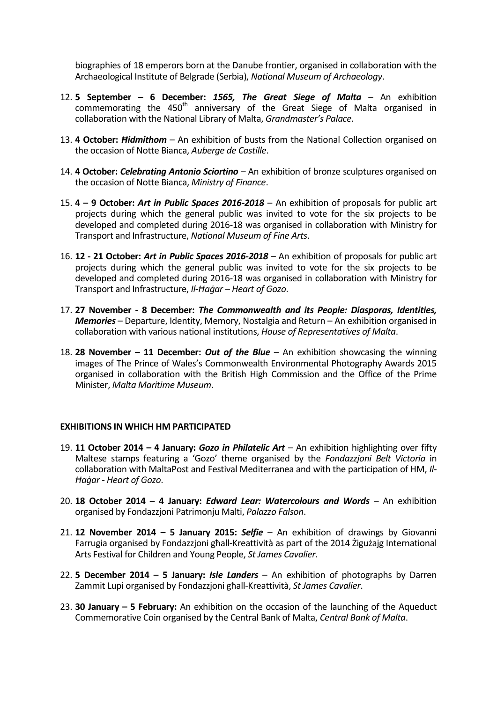biographies of 18 emperors born at the Danube frontier, organised in collaboration with the Archaeological Institute of Belgrade (Serbia), *National Museum of Archaeology*.

- 12. **5 September – 6 December:** *1565, The Great Siege of Malta* An exhibition commemorating the 450<sup>th</sup> anniversary of the Great Siege of Malta organised in collaboration with the National Library of Malta, *Grandmaster's Palace*.
- 13. **4 October:** *Ħidmithom* An exhibition of busts from the National Collection organised on the occasion of Notte Bianca, *Auberge de Castille*.
- 14. **4 October:** *Celebrating Antonio Sciortino*  An exhibition of bronze sculptures organised on the occasion of Notte Bianca, *Ministry of Finance*.
- 15. **4 – 9 October:** *Art in Public Spaces 2016-2018*  An exhibition of proposals for public art projects during which the general public was invited to vote for the six projects to be developed and completed during 2016-18 was organised in collaboration with [Ministry for](http://www.google.com.mt/url?sa=t&rct=j&q=&esrc=s&source=web&cd=1&cad=rja&uact=8&ved=0CB4QFjAAahUKEwivi5f_jK7IAhULEywKHY2lChA&url=http%3A%2F%2Fmti.gov.mt%2F&usg=AFQjCNEBU9FmQPR8YFG2XJNpTE9tCyTAmg)  [Transport and Infrastructure,](http://www.google.com.mt/url?sa=t&rct=j&q=&esrc=s&source=web&cd=1&cad=rja&uact=8&ved=0CB4QFjAAahUKEwivi5f_jK7IAhULEywKHY2lChA&url=http%3A%2F%2Fmti.gov.mt%2F&usg=AFQjCNEBU9FmQPR8YFG2XJNpTE9tCyTAmg) *National Museum of Fine Arts*.
- 16. **12 - 21 October:** *Art in Public Spaces 2016-2018* An exhibition of proposals for public art projects during which the general public was invited to vote for the six projects to be developed and completed during 2016-18 was organised in collaboration with [Ministry for](http://www.google.com.mt/url?sa=t&rct=j&q=&esrc=s&source=web&cd=1&cad=rja&uact=8&ved=0CB4QFjAAahUKEwivi5f_jK7IAhULEywKHY2lChA&url=http%3A%2F%2Fmti.gov.mt%2F&usg=AFQjCNEBU9FmQPR8YFG2XJNpTE9tCyTAmg)  [Transport and Infrastructure,](http://www.google.com.mt/url?sa=t&rct=j&q=&esrc=s&source=web&cd=1&cad=rja&uact=8&ved=0CB4QFjAAahUKEwivi5f_jK7IAhULEywKHY2lChA&url=http%3A%2F%2Fmti.gov.mt%2F&usg=AFQjCNEBU9FmQPR8YFG2XJNpTE9tCyTAmg) *Il-Ħaġar – Heart of Gozo*.
- 17. **27 November - 8 December:** *The Commonwealth and its People: Diasporas, Identities, Memories* – Departure, Identity, Memory, Nostalgia and Return – An exhibition organised in collaboration with various national institutions, *House of Representatives of Malta*.
- 18. **28 November – 11 December:** *Out of the Blue* An exhibition showcasing the winning images of The Prince of Wales's Commonwealth Environmental Photography Awards 2015 organised in collaboration with the British High Commission and the Office of the Prime Minister, *Malta Maritime Museum*.

#### **EXHIBITIONS IN WHICH HM PARTICIPATED**

- 19. **11 October 2014 – 4 January:** *Gozo in Philatelic Art* An exhibition highlighting over fifty Maltese stamps featuring a 'Gozo' theme organised by the *Fondazzjoni Belt Victoria* in collaboration with MaltaPost and Festival Mediterranea and with the participation of HM, *Il-Ħaġar - Heart of Gozo*.
- 20. **18 October 2014 – 4 January:** *Edward Lear: Watercolours and Words* An exhibition organised by Fondazzjoni Patrimonju Malti, *Palazzo Falson*.
- 21. **12 November 2014 – 5 January 2015:** *Selfie* An exhibition of drawings by Giovanni Farrugia organised by Fondazzjoni għall-Kreattività as part of the 2014 Żigużajg International Arts Festival for Children and Young People, *St James Cavalier*.
- 22. **5 December 2014 – 5 January:** *Isle Landers* An exhibition of photographs by Darren Zammit Lupi organised by Fondazzjoni għall-Kreattività, *St James Cavalier*.
- 23. **30 January – 5 February:** An exhibition on the occasion of the launching of the Aqueduct Commemorative Coin organised by the Central Bank of Malta, *Central Bank of Malta*.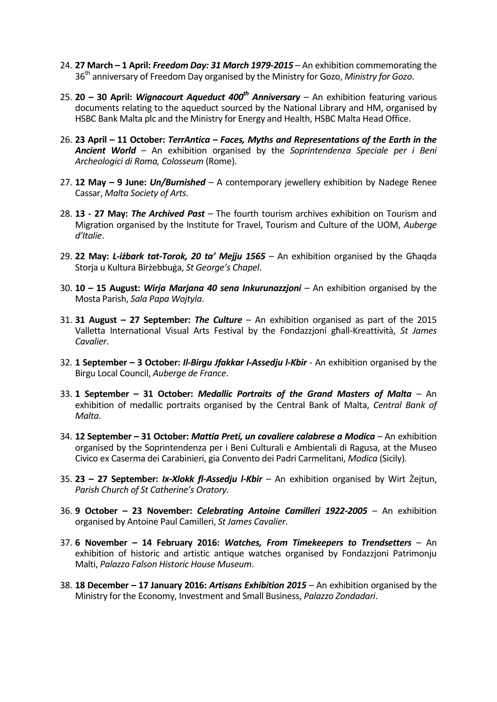- 24. **27 March – 1 April:** *Freedom Day: 31 March 1979-2015* An exhibition commemorating the 36th anniversary of Freedom Day organised by the Ministry for Gozo, *Ministry for Gozo*.
- 25. **20 – 30 April:** *Wignacourt Aqueduct 400th Anniversary* An exhibition featuring various documents relating to the aqueduct sourced by the National Library and HM, organised by HSBC Bank Malta plc and the Ministry for Energy and Health, HSBC Malta Head Office.
- 26. **23 April – 11 October:** *TerrAntica – Faces, Myths and Representations of the Earth in the Ancient World* – An exhibition organised by the *Soprintendenza Speciale per i Beni Archeologici di Roma, Colosseum* (Rome).
- 27. **12 May – 9 June:** *Un/Burnished*  A contemporary jewellery exhibition by Nadege Renee Cassar, *Malta Society of Arts*.
- 28. **13 - 27 May:** *The Archived Past* The fourth tourism archives exhibition on Tourism and Migration organised by the Institute for Travel, Tourism and Culture of the UOM, *Auberge d'Italie*.
- 29. **22 May:** *L-iżbark tat-Torok, 20 ta' Mejju 1565* An exhibition organised by the Għaqda Storja u Kultura Birżebbuġa, *St George's Chapel*.
- 30. **10 – 15 August:** *Wirja Marjana 40 sena Inkurunazzjoni* An exhibition organised by the Mosta Parish, *Sala Papa Wojtyla*.
- 31. **31 August – 27 September:** *The Culture* An exhibition organised as part of the 2015 Valletta International Visual Arts Festival by the Fondazzjoni għall-Kreattività, *St James Cavalier*.
- 32. **1 September – 3 October:** *Il-Birgu Jfakkar l-Assedju l-Kbir* An exhibition organised by the Birgu Local Council, *Auberge de France*.
- 33. **1 September – 31 October:** *Medallic Portraits of the Grand Masters of Malta* An exhibition of medallic portraits organised by the Central Bank of Malta, *Central Bank of Malta*.
- 34. **12 September – 31 October:** *Mattia Preti, un cavaliere calabrese a Modica* An exhibition organised by the Soprintendenza per i Beni Culturali e Ambientali di Ragusa, at the Museo Civico ex Caserma dei Carabinieri, gia Convento dei Padri Carmelitani, *Modica* (Sicily).
- 35. **23 – 27 September:** *Ix-Xlokk fl-Assedju l-Kbir* An exhibition organised by Wirt Żejtun, *Parish Church of St Catherine's Oratory*.
- 36. **9 October – 23 November:** *Celebrating Antoine Camilleri 1922-2005* An exhibition organised by Antoine Paul Camilleri, *St James Cavalier*.
- 37. **6 November – 14 February 2016:** *Watches, From Timekeepers to Trendsetters* An exhibition of historic and artistic antique watches organised by Fondazzjoni Patrimonju Malti, *Palazzo Falson Historic House Museum*.
- 38. **18 December – 17 January 2016:** *Artisans Exhibition 2015*  An exhibition organised by the Ministry for the Economy, Investment and Small Business, *Palazzo Zondadari*.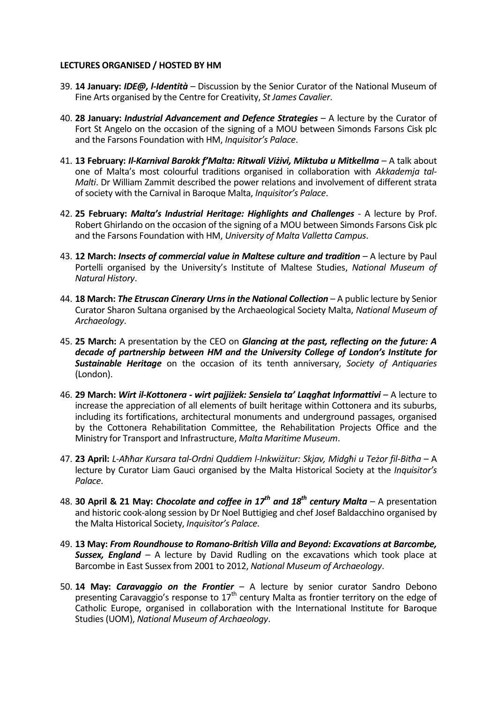#### **LECTURES ORGANISED / HOSTED BY HM**

- 39. **14 January:** *IDE@, l-Identità* Discussion by the Senior Curator of the National Museum of Fine Arts organised by the Centre for Creativity, *St James Cavalier*.
- 40. **28 January:** *Industrial Advancement and Defence Strategies* A lecture by the Curator of Fort St Angelo on the occasion of the signing of a MOU between Simonds Farsons Cisk plc and the Farsons Foundation with HM, *Inquisitor's Palace*.
- 41. **13 February:** *Il-Karnival Barokk f'Malta: Ritwali Viżivi, Miktuba u Mitkellma* A talk about one of Malta's most colourful traditions organised in collaboration with *Akkademja tal-Malti*. Dr William Zammit described the power relations and involvement of different strata of society with the Carnival in Baroque Malta, *Inquisitor's Palace*.
- 42. **25 February:** *Malta's Industrial Heritage: Highlights and Challenges* A lecture by Prof. Robert Ghirlando on the occasion of the signing of a MOU between Simonds Farsons Cisk plc and the Farsons Foundation with HM, *University of Malta Valletta Campus*.
- 43. **12 March:** *Insects of commercial value in Maltese culture and tradition* A lecture by Paul Portelli organised by the University's Institute of Maltese Studies, *National Museum of Natural History*.
- 44. **18 March:** *The Etruscan Cinerary Urns in the National Collection* A public lecture by Senior Curator Sharon Sultana organised by the Archaeological Society Malta, *National Museum of Archaeology*.
- 45. **25 March:** A presentation by the CEO on *Glancing at the past, reflecting on the future: A decade of partnership between HM and the University College of London's Institute for Sustainable Heritage* on the occasion of its tenth anniversary, *Society of Antiquaries* (London).
- 46. **29 March:** *Wirt il-Kottonera - wirt pajjiżek: Sensiela ta' Laqgħat Informattivi* A lecture to increase the appreciation of all elements of built heritage within Cottonera and its suburbs, including its fortifications, architectural monuments and underground passages, organised by the Cottonera Rehabilitation Committee, the Rehabilitation Projects Office and the Ministry for Transport and Infrastructure, *Malta Maritime Museum*.
- 47. **23 April:** *L-Aħħar Kursara tal-Ordni Quddiem l-Inkwiżitur: Skjav, Midgħi u Teżor fil-Bitħa* A lecture by Curator Liam Gauci organised by the Malta Historical Society at the *Inquisitor's Palace*.
- 48. **30 April & 21 May:** *Chocolate and coffee in 17th and 18th century Malta* A presentation and historic cook-along session by Dr Noel Buttigieg and chef Josef Baldacchino organised by the Malta Historical Society, *Inquisitor's Palace*.
- 49. **13 May:** *From Roundhouse to Romano-British Villa and Beyond: Excavations at Barcombe, Sussex, England* – A lecture by David Rudling on the excavations which took place at Barcombe in East Sussex from 2001 to 2012, *National Museum of Archaeology*.
- 50. **14 May:** *Caravaggio on the Frontier* A lecture by senior curator Sandro Debono presenting Caravaggio's response to  $17<sup>th</sup>$  century Malta as frontier territory on the edge of Catholic Europe, organised in collaboration with the International Institute for Baroque Studies (UOM), *National Museum of Archaeology*.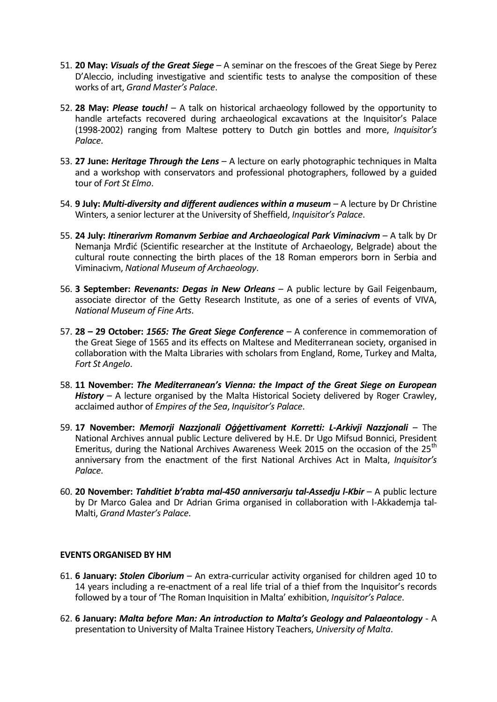- 51. **20 May:** *Visuals of the Great Siege* A seminar on the frescoes of the Great Siege by Perez D'Aleccio, including investigative and scientific tests to analyse the composition of these works of art, *Grand Master's Palace*.
- 52. **28 May:** *Please touch!* A talk on historical archaeology followed by the opportunity to handle artefacts recovered during archaeological excavations at the Inquisitor's Palace (1998-2002) ranging from Maltese pottery to Dutch gin bottles and more, *Inquisitor's Palace*.
- 53. **27 June:** *Heritage Through the Lens* A lecture on early photographic techniques in Malta and a workshop with conservators and professional photographers, followed by a guided tour of *Fort St Elmo*.
- 54. **9 July:** *Multi-diversity and different audiences within a museum* A lecture by Dr Christine Winters, a senior lecturer at the University of Sheffield, *Inquisitor's Palace*.
- 55. **24 July:** *Itinerarivm Romanvm Serbiae and Archaeological Park Viminacivm* A talk by Dr Nemanja Mrđić (Scientific researcher at the Institute of Archaeology, Belgrade) about the cultural route connecting the birth places of the 18 Roman emperors born in Serbia and Viminacivm, *National Museum of Archaeology*.
- 56. **3 September:** *Revenants: Degas in New Orleans* A public lecture by Gail Feigenbaum, associate director of the Getty Research Institute, as one of a series of events of VIVA, *National Museum of Fine Arts*.
- 57. **28 – 29 October:** *1565: The Great Siege Conference* A conference in commemoration of the Great Siege of 1565 and its effects on Maltese and Mediterranean society, organised in collaboration with the Malta Libraries with scholars from England, Rome, Turkey and Malta, *Fort St Angelo*.
- 58. **11 November:** *The Mediterranean's Vienna: the Impact of the Great Siege on European History* – A lecture organised by the Malta Historical Society delivered by Roger Crawley, acclaimed author of *Empires of the Sea*, *Inquisitor's Palace*.
- 59. **17 November:** *Memorji Nazzjonali Oġġettivament Korretti: L-Arkivji Nazzjonali* The National Archives annual public Lecture delivered by H.E. Dr Ugo Mifsud Bonnici, President Emeritus, during the National Archives Awareness Week 2015 on the occasion of the 25<sup>th</sup> anniversary from the enactment of the first National Archives Act in Malta, *Inquisitor's Palace*.
- 60. **20 November:** *Tahditiet b'rabta mal-450 anniversarju tal-Assedju l-Kbir* A public lecture by Dr Marco Galea and Dr Adrian Grima organised in collaboration with l-Akkademja tal-Malti, *Grand Master's Palace*.

#### **EVENTS ORGANISED BY HM**

- 61. **6 January:** *Stolen Ciborium* An extra-curricular activity organised for children aged 10 to 14 years including a re-enactment of a real life trial of a thief from the Inquisitor's records followed by a tour of 'The Roman Inquisition in Malta' exhibition, *Inquisitor's Palace*.
- 62. **6 January:** *Malta before Man: An introduction to Malta's Geology and Palaeontology* A presentation to University of Malta Trainee History Teachers, *University of Malta*.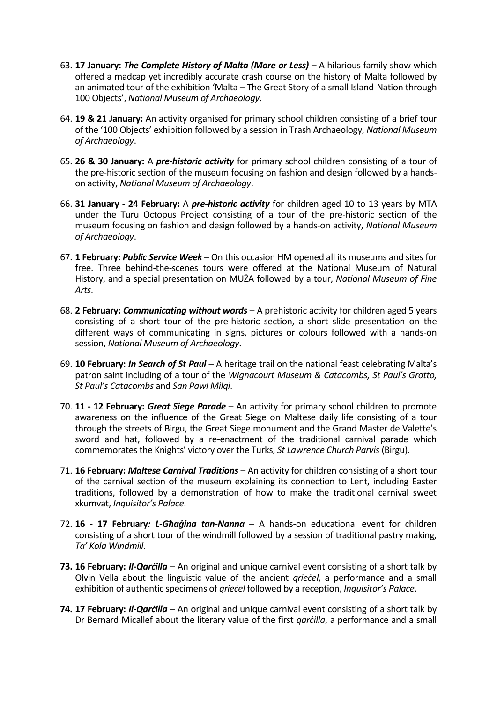- 63. **17 January:** *The Complete History of Malta (More or Less)* A hilarious family show which offered a madcap yet incredibly accurate crash course on the history of Malta followed by an animated tour of the exhibition 'Malta – The Great Story of a small Island-Nation through 100 Objects', *National Museum of Archaeology*.
- 64. **19 & 21 January:** An activity organised for primary school children consisting of a brief tour of the '100 Objects' exhibition followed by a session in Trash Archaeology, *National Museum of Archaeology*.
- 65. **26 & 30 January:** A *pre-historic activity* for primary school children consisting of a tour of the pre-historic section of the museum focusing on fashion and design followed by a handson activity, *National Museum of Archaeology*.
- 66. **31 January - 24 February:** A *pre-historic activity* for children aged 10 to 13 years by MTA under the Turu Octopus Project consisting of a tour of the pre-historic section of the museum focusing on fashion and design followed by a hands-on activity, *National Museum of Archaeology*.
- 67. **1 February:** *Public Service Week* On this occasion HM opened all its museums and sites for free. Three behind-the-scenes tours were offered at the National Museum of Natural History, and a special presentation on MUŻA followed by a tour, *National Museum of Fine Arts*.
- 68. **2 February:** *Communicating without words* A prehistoric activity for children aged 5 years consisting of a short tour of the pre-historic section, a short slide presentation on the different ways of communicating in signs, pictures or colours followed with a hands-on session, *National Museum of Archaeology*.
- 69. **10 February:** *In Search of St Paul* A heritage trail on the national feast celebrating Malta's patron saint including of a tour of the *Wignacourt Museum & Catacombs, St Paul's Grotto, St Paul's Catacombs* and *San Pawl Milqi*.
- 70. **11 - 12 February:** *Great Siege Parade* An activity for primary school children to promote awareness on the influence of the Great Siege on Maltese daily life consisting of a tour through the streets of Birgu, the Great Siege monument and the Grand Master de Valette's sword and hat, followed by a re-enactment of the traditional carnival parade which commemorates the Knights' victory over the Turks, *St Lawrence Church Parvis* (Birgu).
- 71. **16 February:** *Maltese Carnival Traditions* An activity for children consisting of a short tour of the carnival section of the museum explaining its connection to Lent, including Easter traditions, followed by a demonstration of how to make the traditional carnival sweet xkumvat, *Inquisitor's Palace*.
- 72. **16 - 17 February***: L-Għaġina tan-Nanna* A hands-on educational event for children consisting of a short tour of the windmill followed by a session of traditional pastry making, *Ta' Kola Windmill*.
- **73. 16 February:** *Il-Qarċilla* An original and unique carnival event consisting of a short talk by Olvin Vella about the linguistic value of the ancient *qrieċel*, a performance and a small exhibition of authentic specimens of *qrieċel* followed by a reception, *Inquisitor's Palace*.
- **74. 17 February:** *Il-Qarċilla* An original and unique carnival event consisting of a short talk by Dr Bernard Micallef about the literary value of the first *qarcilla*, a performance and a small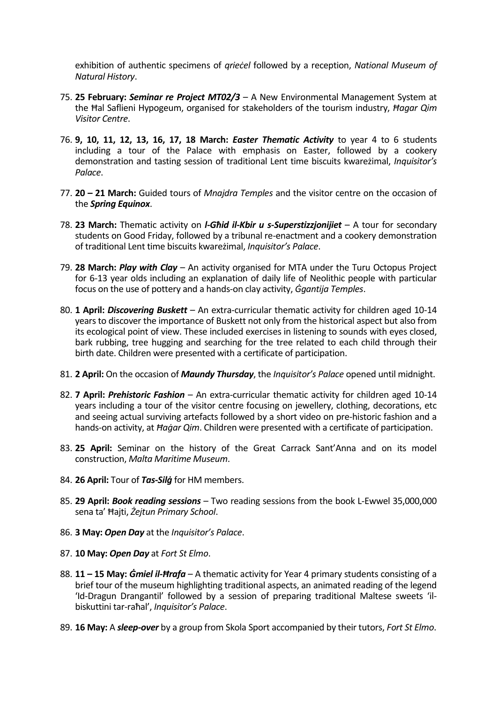exhibition of authentic specimens of *qrieċel* followed by a reception, *National Museum of Natural History*.

- 75. **25 February:** *Seminar re Project MT02/3* A New Environmental Management System at the Ħal Saflieni Hypogeum, organised for stakeholders of the tourism industry, *Ħagar Qim Visitor Centre*.
- 76. **9, 10, 11, 12, 13, 16, 17, 18 March:** *Easter Thematic Activity* to year 4 to 6 students including a tour of the Palace with emphasis on Easter, followed by a cookery demonstration and tasting session of traditional Lent time biscuits kwareżimal, *Inquisitor's Palace*.
- 77. **20 – 21 March:** Guided tours of *Mnajdra Temples* and the visitor centre on the occasion of the *Spring Equinox*.
- 78. **23 March:** Thematic activity on *l-Għid il-Kbir u s-Superstizzjonijiet* A tour for secondary students on Good Friday, followed by a tribunal re-enactment and a cookery demonstration of traditional Lent time biscuits kwareżimal, *Inquisitor's Palace*.
- 79. **28 March:** *Play with Clay* An activity organised for MTA under the Turu Octopus Project for 6-13 year olds including an explanation of daily life of Neolithic people with particular focus on the use of pottery and a hands-on clay activity, *Ġgantija Temples*.
- 80. **1 April:** *Discovering Buskett* An extra-curricular thematic activity for children aged 10-14 years to discover the importance of Buskett not only from the historical aspect but also from its ecological point of view. These included exercises in listening to sounds with eyes closed, bark rubbing, tree hugging and searching for the tree related to each child through their birth date. Children were presented with a certificate of participation.
- 81. **2 April:** On the occasion of *Maundy Thursday*, the *Inquisitor's Palace* opened until midnight.
- 82. **7 April:** *Prehistoric Fashion* An extra-curricular thematic activity for children aged 10-14 years including a tour of the visitor centre focusing on jewellery, clothing, decorations, etc and seeing actual surviving artefacts followed by a short video on pre-historic fashion and a hands-on activity, at *Ħaġar Qim*. Children were presented with a certificate of participation.
- 83. **25 April:** Seminar on the history of the Great Carrack Sant'Anna and on its model construction, *Malta Maritime Museum*.
- 84. **26 April:** Tour of *Tas-Silġ* for HM members.
- 85. **29 April:** *Book reading sessions* Two reading sessions from the book L-Ewwel 35,000,000 sena ta' Ħajti, *Żejtun Primary School*.
- 86. **3 May:** *Open Day* at the *Inquisitor's Palace*.
- 87. **10 May:** *Open Day* at *Fort St Elmo*.
- 88. **11 – 15 May:** *Ġmiel il-Ħrafa* A thematic activity for Year 4 primary students consisting of a brief tour of the museum highlighting traditional aspects, an animated reading of the legend 'Id-Dragun Drangantil' followed by a session of preparing traditional Maltese sweets 'ilbiskuttini tar-raħal', *Inquisitor's Palace*.
- 89. **16 May:** A *sleep-over* by a group from Skola Sport accompanied by their tutors, *Fort St Elmo*.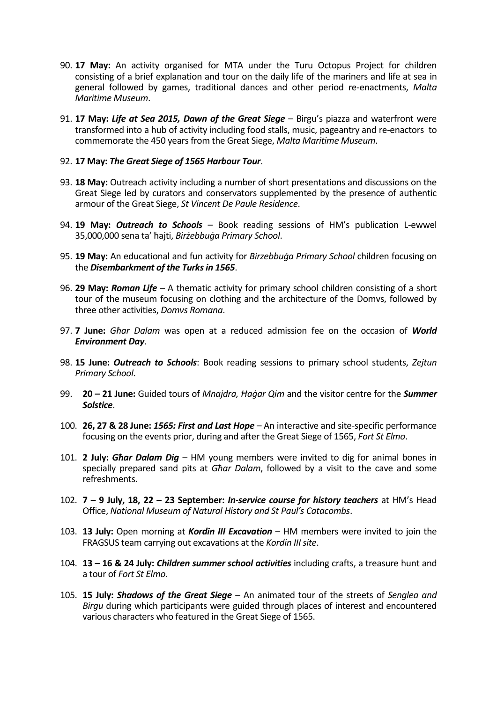- 90. **17 May:** An activity organised for MTA under the Turu Octopus Project for children consisting of a brief explanation and tour on the daily life of the mariners and life at sea in general followed by games, traditional dances and other period re-enactments, *Malta Maritime Museum*.
- 91. **17 May:** *Life at Sea 2015, Dawn of the Great Siege* Birgu's piazza and waterfront were transformed into a hub of activity including food stalls, music, pageantry and re-enactors to commemorate the 450 years from the Great Siege, *Malta Maritime Museum*.

### 92. **17 May:** *The Great Siege of 1565 Harbour Tour*.

- 93. **18 May:** Outreach activity including a number of short presentations and discussions on the Great Siege led by curators and conservators supplemented by the presence of authentic armour of the Great Siege, *St Vincent De Paule Residence*.
- 94. **19 May:** *Outreach to Schools* Book reading sessions of HM's publication L-ewwel 35,000,000 sena ta' ħajti, *Birżebbuġa Primary School*.
- 95. **19 May:** An educational and fun activity for *Birzebbuġa Primary School* children focusing on the *Disembarkment of the Turks in 1565*.
- 96. **29 May:** *Roman Life*  A thematic activity for primary school children consisting of a short tour of the museum focusing on clothing and the architecture of the Domvs, followed by three other activities, *Domvs Romana*.
- 97. **7 June:** *Għar Dalam* was open at a reduced admission fee on the occasion of *World Environment Day*.
- 98. **15 June:** *Outreach to Schools*: Book reading sessions to primary school students, *Zejtun Primary School*.
- 99. **20 – 21 June:** Guided tours of *Mnajdra, Ħaġar Qim* and the visitor centre for the *Summer Solstice*.
- 100. **26, 27 & 28 June:** *1565: First and Last Hope* An interactive and site-specific performance focusing on the events prior, during and after the Great Siege of 1565, *Fort St Elmo*.
- 101. **2 July:** *Għar Dalam Dig* HM young members were invited to dig for animal bones in specially prepared sand pits at *Għar Dalam*, followed by a visit to the cave and some refreshments.
- 102. **7 – 9 July, 18, 22 – 23 September:** *In-service course for history teachers* at HM's Head Office, *National Museum of Natural History and St Paul's Catacombs*.
- 103. **13 July:** Open morning at *Kordin III Excavation* HM members were invited to join the FRAGSUS team carrying out excavations at the *Kordin III site*.
- 104. **13 – 16 & 24 July:** *Children summer school activities* including crafts, a treasure hunt and a tour of *Fort St Elmo*.
- 105. **15 July:** *Shadows of the Great Siege* An animated tour of the streets of *Senglea and Birgu* during which participants were guided through places of interest and encountered various characters who featured in the Great Siege of 1565.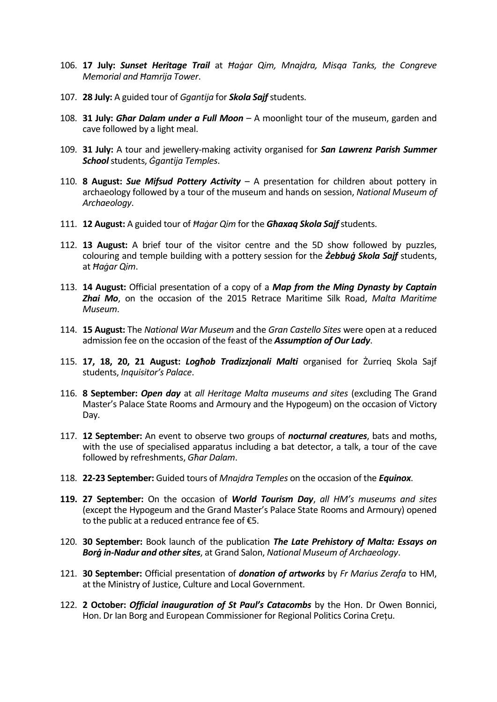- 106. **17 July:** *Sunset Heritage Trail* at *Ħaġar Qim, Mnajdra, Misqa Tanks, the Congreve Memorial and Ħamrija Tower*.
- 107. **28 July:** A guided tour of *Ggantija* for *Skola Sajf* students.
- 108. **31 July:** *Għar Dalam under a Full Moon* A moonlight tour of the museum, garden and cave followed by a light meal.
- 109. **31 July:** A tour and jewellery-making activity organised for *San Lawrenz Parish Summer School*students, *Ġgantija Temples*.
- 110. **8 August:** *Sue Mifsud Pottery Activity* A presentation for children about pottery in archaeology followed by a tour of the museum and hands on session, *National Museum of Archaeology*.
- 111. **12 August:** A guided tour of *Ħaġar Qim* for the *Għaxaq Skola Sajf*students.
- 112. **13 August:** A brief tour of the visitor centre and the 5D show followed by puzzles, colouring and temple building with a pottery session for the *Żebbuġ Skola Sajf* students, at *Ħaġar Qim*.
- 113. **14 August:** Official presentation of a copy of a *Map from the Ming Dynasty by Captain Zhai Mo*, on the occasion of the 2015 Retrace Maritime Silk Road, *Malta Maritime Museum*.
- 114. **15 August:** The *National War Museum* and the *Gran Castello Sites* were open at a reduced admission fee on the occasion of the feast of the *[Assumption of Our Lady](https://en.wikipedia.org/wiki/Assumption_of_Mary)*.
- 115. **17, 18, 20, 21 August:** *Logħob Tradizzjonali Malti* organised for Żurrieq Skola Sajf students, *Inquisitor's Palace*.
- 116. **8 September:** *Open day* at *all Heritage Malta museums and sites* (excluding The Grand Master's Palace State Rooms and Armoury and the Hypogeum) on the occasion of Victory Day.
- 117. **12 September:** An event to observe two groups of *nocturnal creatures*, bats and moths, with the use of specialised apparatus including a bat detector, a talk, a tour of the cave followed by refreshments, *Għar Dalam*.
- 118. **22-23 September:** Guided tours of *Mnajdra Temples* on the occasion of the *Equinox*.
- **119. 27 September:** On the occasion of *World Tourism Day*, *all HM's museums and sites* (except the Hypogeum and the Grand Master's Palace State Rooms and Armoury) opened to the public at a reduced entrance fee of €5.
- 120. **30 September:** Book launch of the publication *The Late Prehistory of Malta: Essays on Borġ in-Nadur and other sites*, at Grand Salon, *National Museum of Archaeology*.
- 121. **30 September:** Official presentation of *donation of artworks* by *Fr Marius Zerafa* to HM, at the Ministry of Justice, Culture and Local Government.
- 122. **2 October:** *Official inauguration of St Paul's Catacombs* by the Hon. Dr Owen Bonnici, Hon. Dr Ian Borg and European Commissioner for Regional Politics Corina Creţu.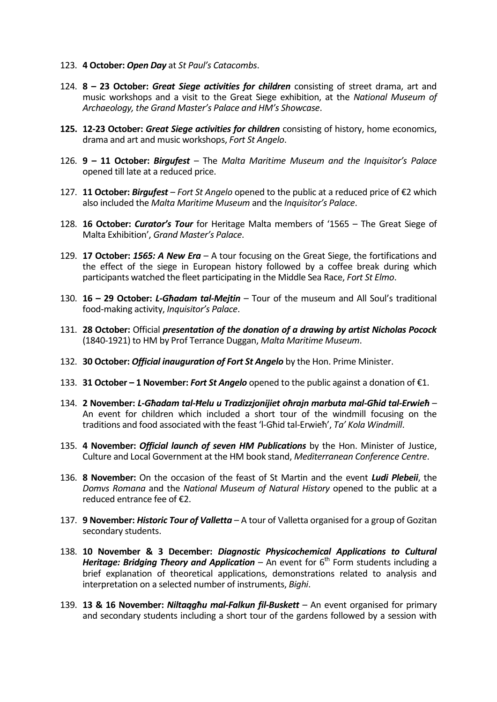- 123. **4 October:** *Open Day* at *St Paul's Catacombs*.
- 124. **8 – 23 October:** *Great Siege activities for children* consisting of street drama, art and music workshops and a visit to the Great Siege exhibition, at the *National Museum of Archaeology, the Grand Master's Palace and HM's Showcase*.
- **125. 12-23 October:** *Great Siege activities for children* consisting of history, home economics, drama and art and music workshops, *Fort St Angelo*.
- 126. **9 – 11 October:** *Birgufest* The *Malta Maritime Museum and the Inquisitor's Palace* opened till late at a reduced price.
- 127. **11 October:** *Birgufest Fort St Angelo* opened to the public at a reduced price of €2 which also included the *Malta Maritime Museum* and the *Inquisitor's Palace*.
- 128. **16 October:** *Curator's Tour* for Heritage Malta members of '1565 The Great Siege of Malta Exhibition', *Grand Master's Palace*.
- 129. **17 October:** *1565: A New Era* A tour focusing on the Great Siege, the fortifications and the effect of the siege in European history followed by a coffee break during which participants watched the fleet participating in the Middle Sea Race, *Fort St Elmo*.
- 130. **16 – 29 October:** *L-Għadam tal-Mejtin* Tour of the museum and All Soul's traditional food-making activity, *Inquisitor's Palace*.
- 131. **28 October:** Official *presentation of the donation of a drawing by artist Nicholas Pocock* (1840-1921) to HM by Prof Terrance Duggan, *Malta Maritime Museum*.
- 132. **30 October:** *Official inauguration of Fort St Angelo* by the Hon. Prime Minister.
- 133. **31 October – 1 November:** *Fort St Angelo* opened to the public against a donation of €1.
- 134. **2 November:** *L-Għadam tal-Ħelu u Tradizzjonijiet oħrajn marbuta mal-Għid tal-Erwieħ* An event for children which included a short tour of the windmill focusing on the traditions and food associated with the feast 'l-Għid tal-Erwieħ', *Ta' Kola Windmill*.
- 135. **4 November:** *Official launch of seven HM Publications* by the Hon. Minister of Justice, Culture and Local Government at the HM book stand, *Mediterranean Conference Centre*.
- 136. **8 November:** On the occasion of the feast of St Martin and the event *Ludi Plebeii*, the *Domvs Romana* and the *National Museum of Natural History* opened to the public at a reduced entrance fee of €2.
- 137. **9 November:** *Historic Tour of Valletta* A tour of Valletta organised for a group of Gozitan secondary students.
- 138. **10 November & 3 December:** *Diagnostic Physicochemical Applications to Cultural Heritage: Bridging Theory and Application* – An event for  $6<sup>th</sup>$  Form students including a brief explanation of theoretical applications, demonstrations related to analysis and interpretation on a selected number of instruments, *Bighi*.
- 139. **13 & 16 November:** *Niltaqgħu mal-Falkun fil-Buskett* An event organised for primary and secondary students including a short tour of the gardens followed by a session with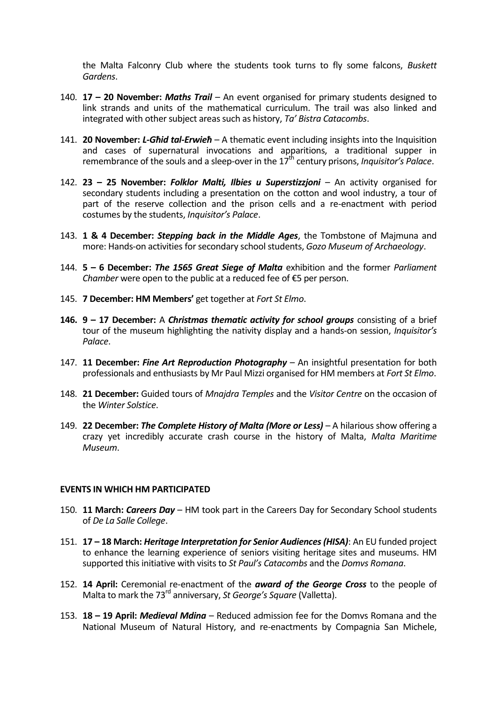the Malta Falconry Club where the students took turns to fly some falcons, *Buskett Gardens*.

- 140. **17 – 20 November:** *Maths Trail* An event organised for primary students designed to link strands and units of the mathematical curriculum. The trail was also linked and integrated with other subject areas such as history, *Ta' Bistra Catacombs*.
- 141. **20 November:** *L-Għid tal-Erwieħ* A thematic event including insights into the Inquisition and cases of supernatural invocations and apparitions, a traditional supper in remembrance of the souls and a sleep-over in the 17<sup>th</sup> century prisons, *Inquisitor's Palace*.
- 142. **23 – 25 November:** *Folklor Malti, Ilbies u Superstizzjoni* An activity organised for secondary students including a presentation on the cotton and wool industry, a tour of part of the reserve collection and the prison cells and a re-enactment with period costumes by the students, *Inquisitor's Palace*.
- 143. **1 & 4 December:** *Stepping back in the Middle Ages*, the Tombstone of Majmuna and more: Hands-on activities for secondary school students, *Gozo Museum of Archaeology*.
- 144. **5 – 6 December:** *The 1565 Great Siege of Malta* exhibition and the former *Parliament Chamber* were open to the public at a reduced fee of €5 per person.
- 145. **7 December: HM Members'** get together at *Fort St Elmo*.
- **146. 9 – 17 December:** A *Christmas thematic activity for school groups* consisting of a brief tour of the museum highlighting the nativity display and a hands-on session, *Inquisitor's Palace*.
- 147. **11 December:** *Fine Art Reproduction Photography* An insightful presentation for both professionals and enthusiasts by Mr Paul Mizzi organised for HM members at *Fort St Elmo*.
- 148. **21 December:** Guided tours of *Mnajdra Temples* and the *Visitor Centre* on the occasion of the *Winter Solstice*.
- 149. **22 December:** *The Complete History of Malta (More or Less)* A hilarious show offering a crazy yet incredibly accurate crash course in the history of Malta, *Malta Maritime Museum*.

#### **EVENTS IN WHICH HM PARTICIPATED**

- 150. **11 March:** *Careers Day* HM took part in the Careers Day for Secondary School students of *De La Salle College*.
- 151. **17 – 18 March:** *Heritage Interpretation for Senior Audiences (HISA)*: An EU funded project to enhance the learning experience of seniors visiting heritage sites and museums. HM supported this initiative with visits to *St Paul's Catacombs* and the *Domvs Romana*.
- 152. **14 April:** Ceremonial re-enactment of the *award of the George Cross* to the people of Malta to mark the 73rd anniversary, *St George's Square* (Valletta).
- 153. **18 – 19 April:** *Medieval Mdina* Reduced admission fee for the Domvs Romana and the National Museum of Natural History, and re-enactments by Compagnia San Michele,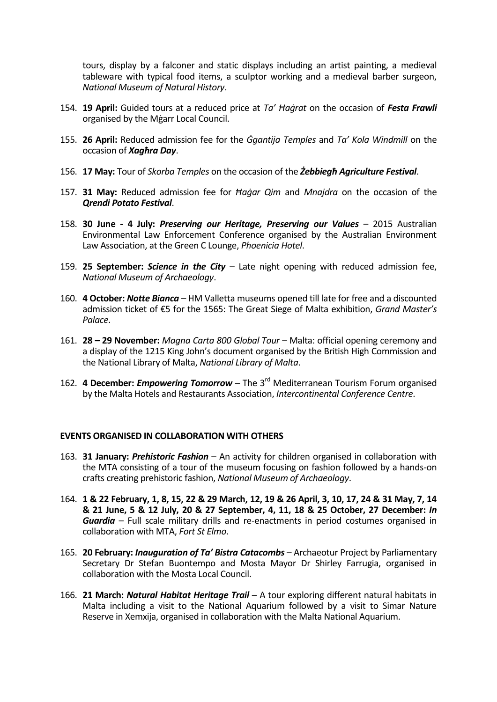tours, display by a falconer and static displays including an artist painting, a medieval tableware with typical food items, a sculptor working and a medieval barber surgeon, *National Museum of Natural History*.

- 154. **19 April:** Guided tours at a reduced price at *Ta' Ħaġrat* on the occasion of *Festa Frawli* organised by the Mġarr Local Council.
- 155. **26 April:** Reduced admission fee for the *Ġgantija Temples* and *Ta' Kola Windmill* on the occasion of *Xagħra Day*.
- 156. **17 May:** Tour of *Skorba Temples* on the occasion of the *Żebbiegħ Agriculture Festival*.
- 157. **31 May:** Reduced admission fee for *Ħaġar Qim* and *Mnajdra* on the occasion of the *Qrendi Potato Festival*.
- 158. **30 June - 4 July:** *Preserving our Heritage, Preserving our Values* 2015 Australian Environmental Law Enforcement Conference organised by the Australian Environment Law Association, at the Green C Lounge, *Phoenicia Hotel*.
- 159. **25 September:** *Science in the City* Late night opening with reduced admission fee, *National Museum of Archaeology*.
- 160. **4 October:** *Notte Bianca* HM Valletta museums opened till late for free and a discounted admission ticket of €5 for the 1565: The Great Siege of Malta exhibition, *Grand Master's Palace*.
- 161. **28 – 29 November:** *Magna Carta 800 Global Tour* Malta: official opening ceremony and a display of the 1215 King John's document organised by the British High Commission and the National Library of Malta, *National Library of Malta*.
- 162. **4 December:** *Empowering Tomorrow* The 3rd Mediterranean Tourism Forum organised by the Malta Hotels and Restaurants Association, *Intercontinental Conference Centre*.

# **EVENTS ORGANISED IN COLLABORATION WITH OTHERS**

- 163. **31 January:** *Prehistoric Fashion*  An activity for children organised in collaboration with the MTA consisting of a tour of the museum focusing on fashion followed by a hands-on crafts creating prehistoric fashion, *National Museum of Archaeology*.
- 164. **1 & 22 February, 1, 8, 15, 22 & 29 March, 12, 19 & 26 April, 3, 10, 17, 24 & 31 May, 7, 14 & 21 June, 5 & 12 July, 20 & 27 September, 4, 11, 18 & 25 October, 27 December:** *In Guardia* – Full scale military drills and re-enactments in period costumes organised in collaboration with MTA, *Fort St Elmo*.
- 165. **20 February:** *Inauguration of Ta' Bistra Catacombs* Archaeotur Project by Parliamentary Secretary Dr Stefan Buontempo and Mosta Mayor Dr Shirley Farrugia, organised in collaboration with the Mosta Local Council.
- 166. **21 March:** *Natural Habitat Heritage Trail* A tour exploring different natural habitats in Malta including a visit to the National Aquarium followed by a visit to Simar Nature Reserve in Xemxija, organised in collaboration with the Malta National Aquarium.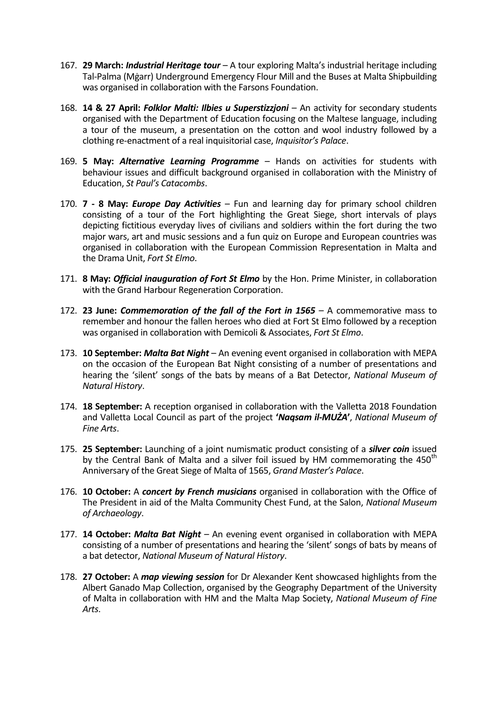- 167. **29 March:** *Industrial Heritage tour* A tour exploring Malta's industrial heritage including Tal-Palma (Mġarr) Underground Emergency Flour Mill and the Buses at Malta Shipbuilding was organised in collaboration with the Farsons Foundation.
- 168. **14 & 27 April:** *Folklor Malti: Ilbies u Superstizzjoni* An activity for secondary students organised with the Department of Education focusing on the Maltese language, including a tour of the museum, a presentation on the cotton and wool industry followed by a clothing re-enactment of a real inquisitorial case, *Inquisitor's Palace*.
- 169. **5 May:** *Alternative Learning Programme* Hands on activities for students with behaviour issues and difficult background organised in collaboration with the Ministry of Education, *St Paul's Catacombs*.
- 170. **7 - 8 May:** *Europe Day Activities* Fun and learning day for primary school children consisting of a tour of the Fort highlighting the Great Siege, short intervals of plays depicting fictitious everyday lives of civilians and soldiers within the fort during the two major wars, art and music sessions and a fun quiz on Europe and European countries was organised in collaboration with the European Commission Representation in Malta and the Drama Unit, *Fort St Elmo*.
- 171. **8 May:** *Official inauguration of Fort St Elmo* by the Hon. Prime Minister, in collaboration with the Grand Harbour Regeneration Corporation.
- 172. **23 June:** *Commemoration of the fall of the Fort in 1565* A commemorative mass to remember and honour the fallen heroes who died at Fort St Elmo followed by a reception was organised in collaboration with Demicoli & Associates, *Fort St Elmo*.
- 173. **10 September:** *Malta Bat Night* An evening event organised in collaboration with MEPA on the occasion of the European Bat Night consisting of a number of presentations and hearing the 'silent' songs of the bats by means of a Bat Detector, *National Museum of Natural History*.
- 174. **18 September:** A reception organised in collaboration with the Valletta 2018 Foundation and Valletta Local Council as part of the project **'***Naqsam il-MUŻA***'**, *National Museum of Fine Arts*.
- 175. **25 September:** Launching of a joint numismatic product consisting of a *silver coin* issued by the Central Bank of Malta and a silver foil issued by HM commemorating the 450<sup>th</sup> Anniversary of the Great Siege of Malta of 1565, *Grand Master's Palace*.
- 176. **10 October:** A *concert by French musicians* organised in collaboration with the Office of The President in aid of the Malta Community Chest Fund, at the Salon, *National Museum of Archaeology*.
- 177. **14 October:** *Malta Bat Night* An evening event organised in collaboration with MEPA consisting of a number of presentations and hearing the 'silent' songs of bats by means of a bat detector, *National Museum of Natural History*.
- 178. **27 October:** A *map viewing session* for Dr Alexander Kent showcased highlights from the Albert Ganado Map Collection, organised by the Geography Department of the University of Malta in collaboration with HM and the Malta Map Society, *National Museum of Fine Arts*.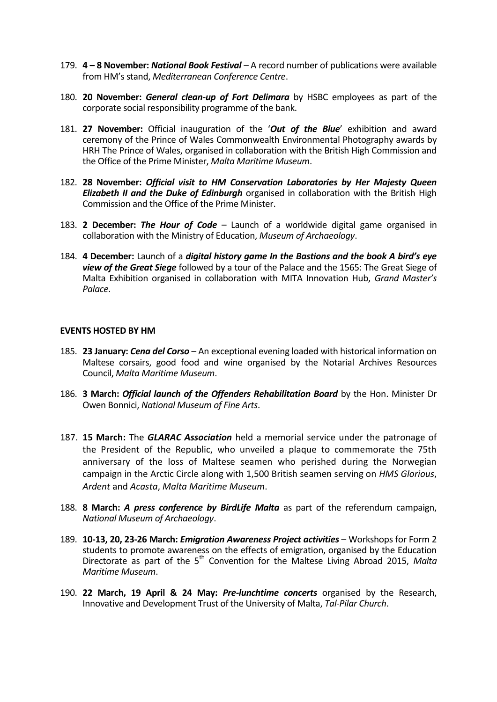- 179. **4 – 8 November:** *National Book Festival* A record number of publications were available from HM's stand, *Mediterranean Conference Centre*.
- 180. **20 November:** *General clean-up of Fort Delimara* by HSBC employees as part of the corporate social responsibility programme of the bank.
- 181. **27 November:** Official inauguration of the '*Out of the Blue*' exhibition and award ceremony of the Prince of Wales Commonwealth Environmental Photography awards by HRH The Prince of Wales, organised in collaboration with the British High Commission and the Office of the Prime Minister, *Malta Maritime Museum*.
- 182. **28 November:** *Official visit to HM Conservation Laboratories by Her Majesty Queen Elizabeth II and the Duke of Edinburgh* organised in collaboration with the British High Commission and the Office of the Prime Minister.
- 183. **2 December:** *The Hour of Code* Launch of a worldwide digital game organised in collaboration with the Ministry of Education, *Museum of Archaeology*.
- 184. **4 December:** Launch of a *digital history game In the Bastions and the book A bird's eye view of the Great Siege* followed by a tour of the Palace and the 1565: The Great Siege of Malta Exhibition organised in collaboration with MITA Innovation Hub, *Grand Master's Palace*.

#### **EVENTS HOSTED BY HM**

- 185. **23 January:** *Cena del Corso* An exceptional evening loaded with historical information on Maltese corsairs, good food and wine organised by the Notarial Archives Resources Council, *Malta Maritime Museum*.
- 186. **3 March:** *Official launch of the Offenders Rehabilitation Board* by the Hon. Minister Dr Owen Bonnici, *National Museum of Fine Arts*.
- 187. **15 March:** The *GLARAC Association* held a memorial service under the patronage of the President of the Republic, who unveiled a plaque to commemorate the 75th anniversary of the loss of Maltese seamen who perished during the Norwegian campaign in the Arctic Circle along with 1,500 British seamen serving on *HMS Glorious*, *Ardent* and *Acasta*, *Malta Maritime Museum*.
- 188. **8 March:** *A press conference by BirdLife Malta* as part of the referendum campaign, *National Museum of Archaeology*.
- 189. **10-13, 20, 23-26 March:** *Emigration Awareness Project activities*  Workshops for Form 2 students to promote awareness on the effects of emigration, organised by the Education Directorate as part of the 5<sup>th</sup> Convention for the Maltese Living Abroad 2015, Malta *Maritime Museum*.
- 190. **22 March, 19 April & 24 May:** *Pre-lunchtime concerts* organised by the Research, Innovative and Development Trust of the University of Malta, *Tal-Pilar Church*.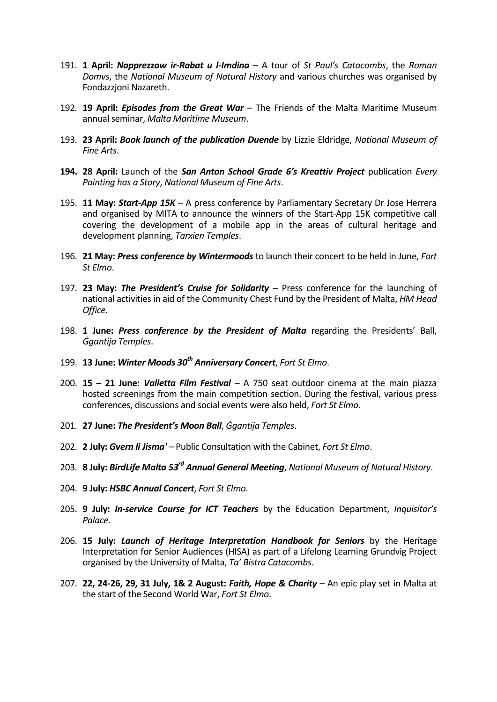- 191. **1 April:** *Napprezzaw ir-Rabat u l-Imdina* A tour of *St Paul's Catacombs*, the *Roman Domvs*, the *National Museum of Natural History* and various churches was organised by Fondazzjoni Nazareth.
- 192. **19 April:** *Episodes from the Great War* The Friends of the Malta Maritime Museum annual seminar, *Malta Maritime Museum*.
- 193. **23 April:** *Book launch of the publication Duende* by Lizzie Eldridge, *National Museum of Fine Arts*.
- **194. 28 April:** Launch of the *San Anton School Grade 6's Kreattiv Project* publication *Every Painting has a Story*, *National Museum of Fine Arts*.
- 195. **11 May:** *Start-App 15K*  A press conference by Parliamentary Secretary Dr Jose Herrera and organised by MITA to announce the winners of the Start-App 15K competitive call covering the development of a mobile app in the areas of cultural heritage and development planning, *Tarxien Temples*.
- 196. **21 May:** *Press conference by Wintermoods* to launch their concert to be held in June, *Fort St Elmo*.
- 197. **23 May:** *The President's Cruise for Solidarity* Press conference for the launching of national activities in aid of the Community Chest Fund by the President of Malta, *HM Head Office*.
- 198. **1 June:** *Press conference by the President of Malta* regarding the Presidents' Ball, *Ġgantija Temples*.
- 199. **13 June:** *Winter Moods 30th Anniversary Concert*, *Fort St Elmo*.
- 200. **15 – 21 June:** *Valletta Film Festival* A 750 seat outdoor cinema at the main piazza hosted screenings from the main competition section. During the festival, various press conferences, discussions and social events were also held, *Fort St Elmo*.
- 201. **27 June:** *The President's Moon Ball*, *Ġgantija Temples*.
- 202. **2 July:** *Gvern li Jisma'* Public Consultation with the Cabinet, *Fort St Elmo*.
- 203. **8 July:** *BirdLife Malta 53rd Annual General Meeting*, *National Museum of Natural History*.
- 204. **9 July:** *HSBC Annual Concert*, *Fort St Elmo*.
- 205. **9 July:** *In-service Course for ICT Teachers* by the Education Department, *Inquisitor's Palace*.
- 206. **15 July:** *Launch of Heritage Interpretation Handbook for Seniors* by the Heritage Interpretation for Senior Audiences (HISA) as part of a Lifelong Learning Grundvig Project organised by the University of Malta, *Ta' Bistra Catacombs*.
- 207. **22, 24-26, 29, 31 July, 1& 2 August:** *Faith, Hope & Charity* An epic play set in Malta at the start of the Second World War, *Fort St Elmo*.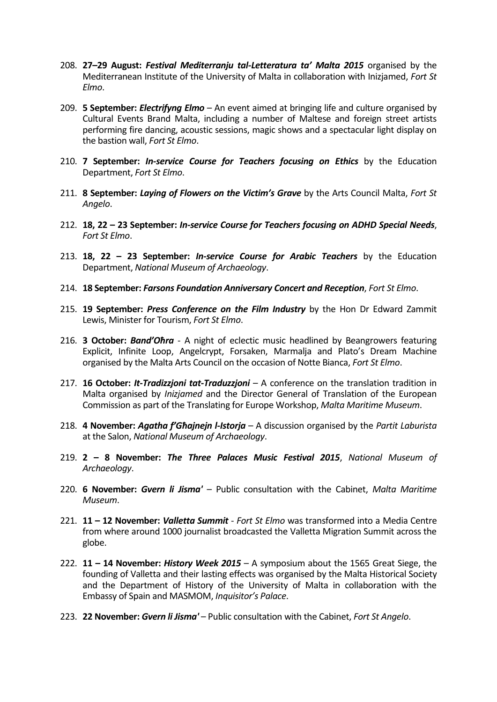- 208. **27–29 August:** *Festival Mediterranju tal-Letteratura ta' Malta 2015* organised by the Mediterranean Institute of the University of Malta in collaboration with Inizjamed, *Fort St Elmo*.
- 209. **5 September:** *Electrifyng Elmo* An event aimed at bringing life and culture organised by Cultural Events Brand Malta, including a number of Maltese and foreign street artists performing fire dancing, acoustic sessions, magic shows and a spectacular light display on the bastion wall, *Fort St Elmo*.
- 210. **7 September:** *In-service Course for Teachers focusing on Ethics* by the Education Department, *Fort St Elmo*.
- 211. **8 September:** *Laying of Flowers on the Victim's Grave* by the Arts Council Malta, *Fort St Angelo*.
- 212. **18, 22 – 23 September:** *In-service Course for Teachers focusing on ADHD Special Needs*, *Fort St Elmo*.
- 213. **18, 22 – 23 September:** *In-service Course for Arabic Teachers* by the Education Department, *National Museum of Archaeology*.
- 214. **18 September:** *Farsons Foundation Anniversary Concert and Reception*, *Fort St Elmo*.
- 215. **19 September:** *Press Conference on the Film Industry* by the Hon Dr Edward Zammit Lewis, Minister for Tourism, *Fort St Elmo*.
- 216. **3 October:** *Band'Oħra* A night of eclectic music headlined by Beangrowers featuring Explicit, Infinite Loop, Angelcrypt, Forsaken, Marmalja and Plato's Dream Machine organised by the Malta Arts Council on the occasion of Notte Bianca, *Fort St Elmo*.
- 217. **16 October:** *It-Tradizzjoni tat-Traduzzjoni* A conference on the translation tradition in Malta organised by *Inizjamed* and the Director General of Translation of the European Commission as part of the Translating for Europe Workshop, *Malta Maritime Museum*.
- 218. **4 November:** *Agatha f'Għajnejn l-Istorja* A discussion organised by the *Partit Laburista* at the Salon, *National Museum of Archaeology*.
- 219. **2 – 8 November:** *The Three Palaces Music Festival 2015*, *National Museum of Archaeology*.
- 220. **6 November:** *Gvern li Jisma'* Public consultation with the Cabinet, *Malta Maritime Museum*.
- 221. **11 – 12 November:** *Valletta Summit Fort St Elmo* was transformed into a Media Centre from where around 1000 journalist broadcasted the Valletta Migration Summit across the globe.
- 222. **11 – 14 November:** *History Week 2015* A symposium about the 1565 Great Siege, the founding of Valletta and their lasting effects was organised by the Malta Historical Society and the Department of History of the University of Malta in collaboration with the Embassy of Spain and MASMOM, *Inquisitor's Palace*.
- 223. **22 November:** *Gvern li Jisma'* Public consultation with the Cabinet, *Fort St Angelo*.